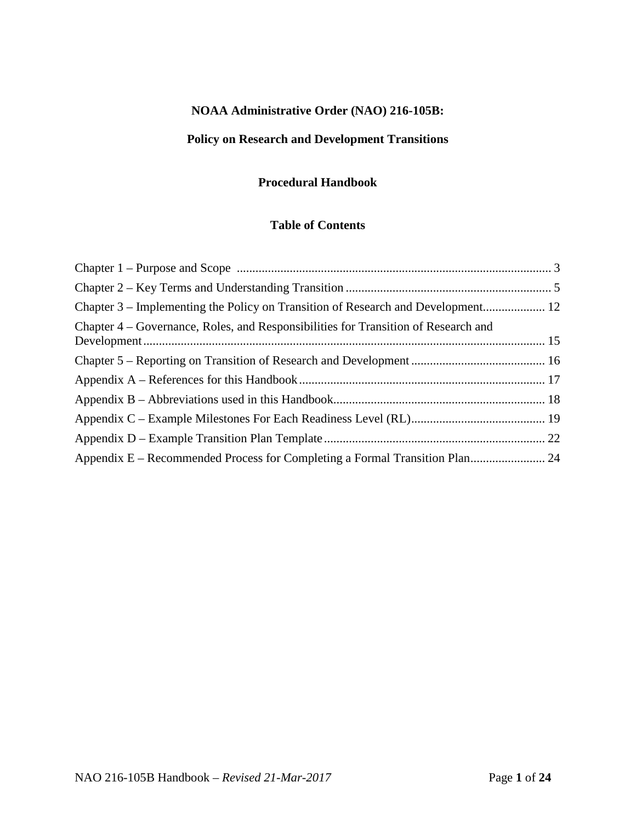# **NOAA Administrative Order (NAO) 216-105B:**

# **Policy on Research and Development Transitions**

### **Procedural Handbook**

# **Table of Contents**

| Chapter 3 – Implementing the Policy on Transition of Research and Development 12   |  |
|------------------------------------------------------------------------------------|--|
| Chapter 4 – Governance, Roles, and Responsibilities for Transition of Research and |  |
|                                                                                    |  |
|                                                                                    |  |
|                                                                                    |  |
|                                                                                    |  |
|                                                                                    |  |
|                                                                                    |  |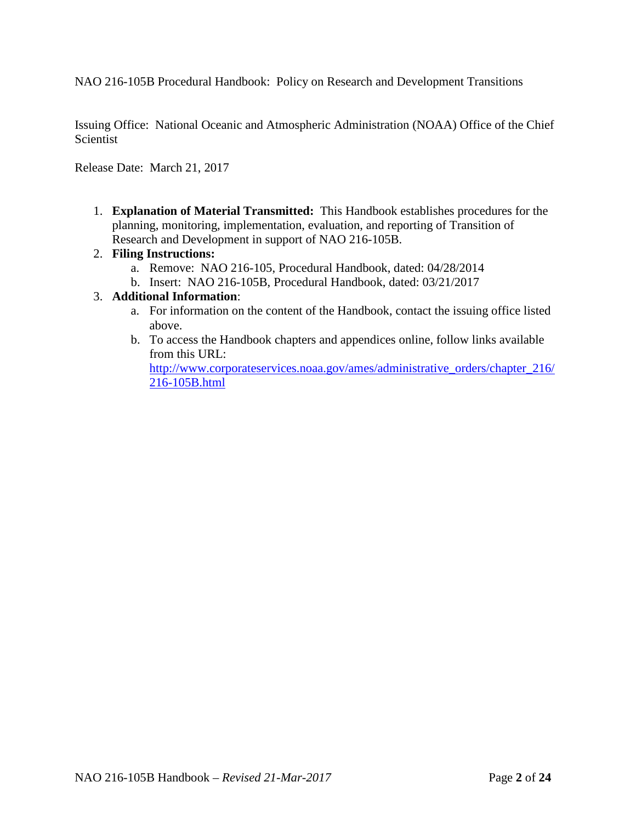NAO 216-105B Procedural Handbook: Policy on Research and Development Transitions

Issuing Office: National Oceanic and Atmospheric Administration (NOAA) Office of the Chief **Scientist** 

Release Date: March 21, 2017

1. **Explanation of Material Transmitted:** This Handbook establishes procedures for the planning, monitoring, implementation, evaluation, and reporting of Transition of Research and Development in support of NAO 216-105B.

#### 2. **Filing Instructions:**

- a. Remove: NAO 216-105, Procedural Handbook, dated: 04/28/2014
- b. Insert: NAO 216-105B, Procedural Handbook, dated: 03/21/2017

#### 3. **Additional Information**:

- a. For information on the content of the Handbook, contact the issuing office listed above.
- b. To access the Handbook chapters and appendices online, follow links available from this URL:

[http://www.corporateservices.noaa.gov/ames/administrative\\_orders/chapter\\_216/](http://www.corporateservices.noaa.gov/ames/administrative_orders/chapter_216/216-105A.html) [216-105B.html](http://www.corporateservices.noaa.gov/ames/administrative_orders/chapter_216/216-105A.html)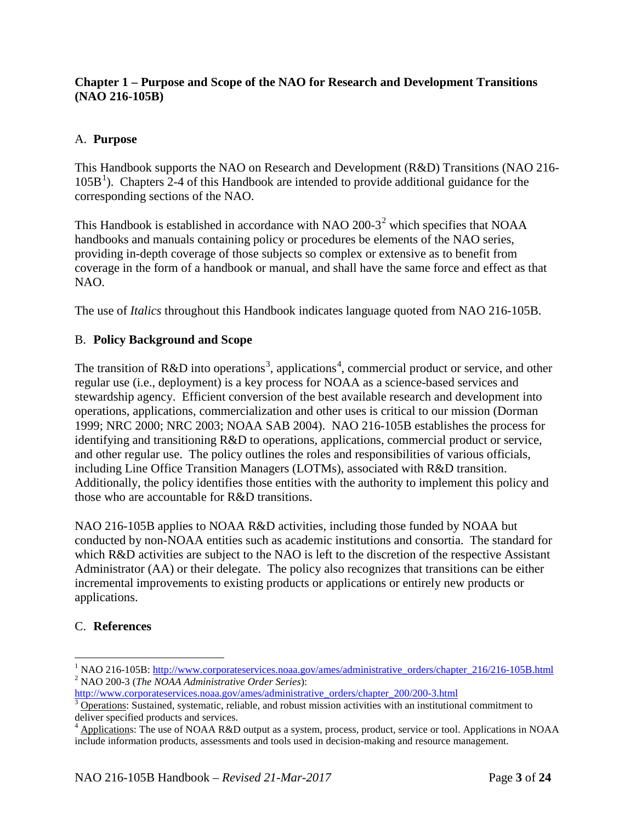# <span id="page-2-0"></span>**Chapter 1 – Purpose and Scope of the NAO for Research and Development Transitions (NAO 216-105B)**

# A. **Purpose**

This Handbook supports the NAO on Research and Development (R&D) Transitions (NAO 216- [1](#page-2-1)05B<sup>1</sup>). Chapters 2-4 of this Handbook are intended to provide additional guidance for the corresponding sections of the NAO.

This Handbook is established in accordance with NAO [2](#page-2-2)00-3<sup>2</sup> which specifies that NOAA handbooks and manuals containing policy or procedures be elements of the NAO series, providing in-depth coverage of those subjects so complex or extensive as to benefit from coverage in the form of a handbook or manual, and shall have the same force and effect as that NAO.

The use of *Italics* throughout this Handbook indicates language quoted from NAO 216-105B.

# B. **Policy Background and Scope**

The transition of R&D into operations<sup>[3](#page-2-3)</sup>, applications<sup>[4](#page-2-4)</sup>, commercial product or service, and other regular use (i.e., deployment) is a key process for NOAA as a science-based services and stewardship agency. Efficient conversion of the best available research and development into operations, applications, commercialization and other uses is critical to our mission (Dorman 1999; NRC 2000; NRC 2003; NOAA SAB 2004). NAO 216-105B establishes the process for identifying and transitioning R&D to operations, applications, commercial product or service, and other regular use. The policy outlines the roles and responsibilities of various officials, including Line Office Transition Managers (LOTMs), associated with R&D transition. Additionally, the policy identifies those entities with the authority to implement this policy and those who are accountable for R&D transitions.

NAO 216-105B applies to NOAA R&D activities, including those funded by NOAA but conducted by non-NOAA entities such as academic institutions and consortia. The standard for which R&D activities are subject to the NAO is left to the discretion of the respective Assistant Administrator (AA) or their delegate. The policy also recognizes that transitions can be either incremental improvements to existing products or applications or entirely new products or applications.

# C. **References**

<span id="page-2-2"></span><span id="page-2-1"></span><sup>&</sup>lt;sup>1</sup> NAO 216-105B: <u>http://www.corporateservices.noaa.gov/ames/administrative\_orders/chapter\_216/216-105B.html <sup>2</sup> NAO 200-3 (*The NOAA Administrative Order Series*):<br>http://www.corporateservices.noaa.gov/ames/administrativ</u>

<span id="page-2-3"></span> $\frac{3}{3}$  Operations: Sustained, systematic, reliable, and robust mission activities with an institutional commitment to deliver specified products and services.

<span id="page-2-4"></span>Applications: The use of NOAA R&D output as a system, process, product, service or tool. Applications in NOAA include information products, assessments and tools used in decision-making and resource management.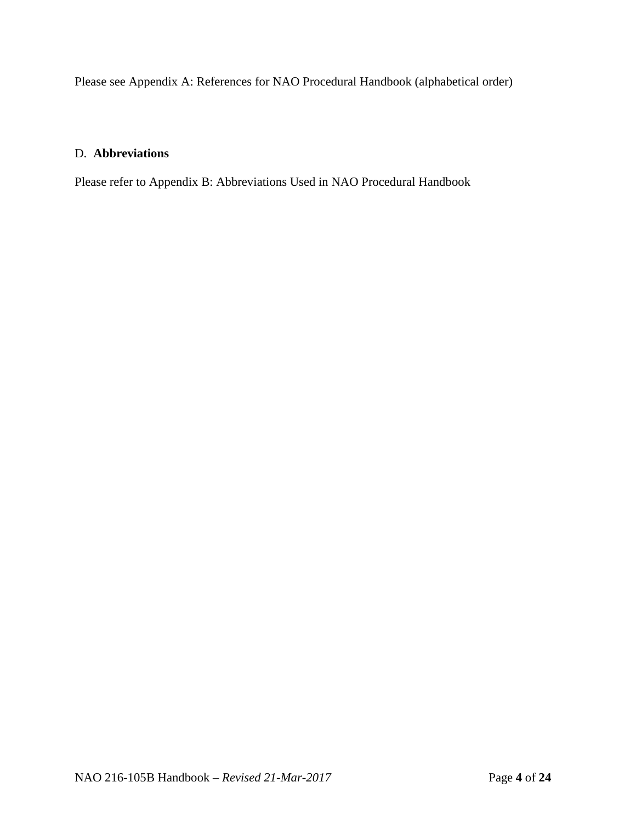Please see Appendix A: References for NAO Procedural Handbook (alphabetical order)

# D. **Abbreviations**

Please refer to Appendix B: Abbreviations Used in NAO Procedural Handbook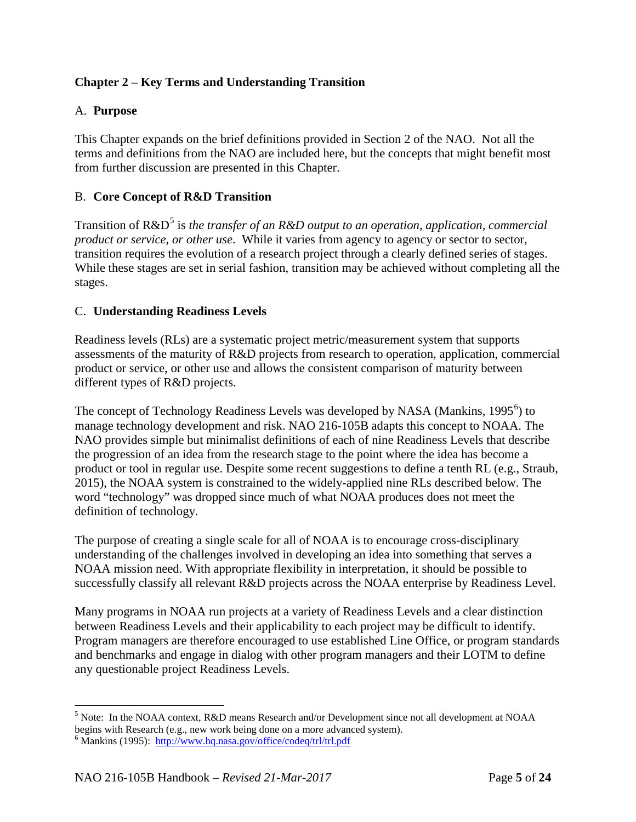# <span id="page-4-0"></span>**Chapter 2 – Key Terms and Understanding Transition**

#### A. **Purpose**

This Chapter expands on the brief definitions provided in Section 2 of the NAO. Not all the terms and definitions from the NAO are included here, but the concepts that might benefit most from further discussion are presented in this Chapter.

#### B. **Core Concept of R&D Transition**

Transition of R&D<sup>[5](#page-4-1)</sup> is *the transfer of an R&D output to an operation, application, commercial product or service, or other use*. While it varies from agency to agency or sector to sector, transition requires the evolution of a research project through a clearly defined series of stages. While these stages are set in serial fashion, transition may be achieved without completing all the stages.

#### C. **Understanding Readiness Levels**

Readiness levels (RLs) are a systematic project metric/measurement system that supports assessments of the maturity of R&D projects from research to operation, application, commercial product or service, or other use and allows the consistent comparison of maturity between different types of R&D projects.

The concept of Technology Readiness Levels was developed by NASA (Mankins, 1995<sup>[6](#page-4-2)</sup>) to manage technology development and risk. NAO 216-105B adapts this concept to NOAA. The NAO provides simple but minimalist definitions of each of nine Readiness Levels that describe the progression of an idea from the research stage to the point where the idea has become a product or tool in regular use. Despite some recent suggestions to define a tenth RL (e.g., Straub, 2015), the NOAA system is constrained to the widely-applied nine RLs described below. The word "technology" was dropped since much of what NOAA produces does not meet the definition of technology.

The purpose of creating a single scale for all of NOAA is to encourage cross-disciplinary understanding of the challenges involved in developing an idea into something that serves a NOAA mission need. With appropriate flexibility in interpretation, it should be possible to successfully classify all relevant R&D projects across the NOAA enterprise by Readiness Level.

Many programs in NOAA run projects at a variety of Readiness Levels and a clear distinction between Readiness Levels and their applicability to each project may be difficult to identify. Program managers are therefore encouraged to use established Line Office, or program standards and benchmarks and engage in dialog with other program managers and their LOTM to define any questionable project Readiness Levels.

<span id="page-4-1"></span><sup>&</sup>lt;sup>5</sup> Note: In the NOAA context, R&D means Research and/or Development since not all development at NOAA begins with Research (e.g., new work being done on a more advanced system).

<span id="page-4-2"></span><sup>6</sup> Mankins (1995):<http://www.hq.nasa.gov/office/codeq/trl/trl.pdf>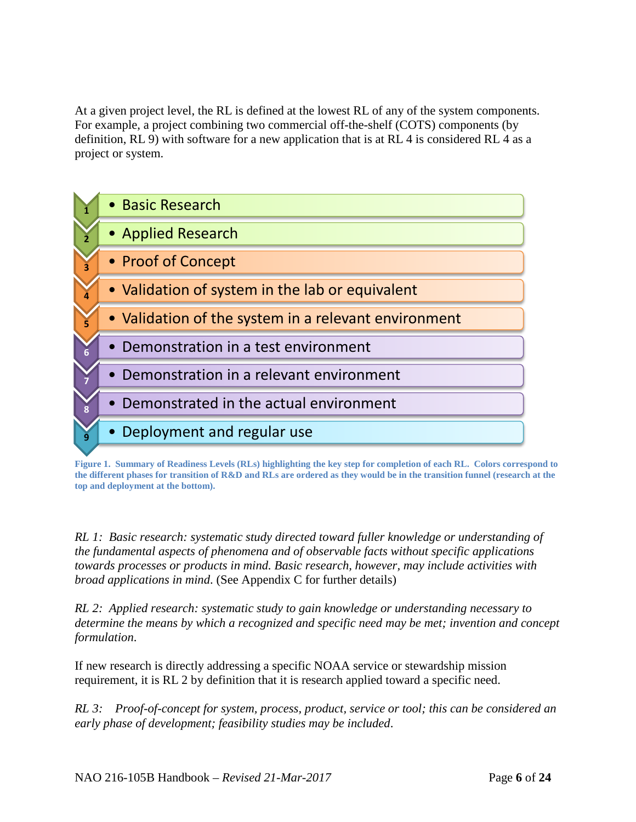At a given project level, the RL is defined at the lowest RL of any of the system components. For example, a project combining two commercial off-the-shelf (COTS) components (by definition, RL 9) with software for a new application that is at RL 4 is considered RL 4 as a project or system.



**Figure 1. Summary of Readiness Levels (RLs) highlighting the key step for completion of each RL. Colors correspond to the different phases for transition of R&D and RLs are ordered as they would be in the transition funnel (research at the top and deployment at the bottom).**

*RL 1: Basic research: systematic study directed toward fuller knowledge or understanding of the fundamental aspects of phenomena and of observable facts without specific applications towards processes or products in mind. Basic research, however, may include activities with broad applications in mind*. (See Appendix C for further details)

*RL 2: Applied research: systematic study to gain knowledge or understanding necessary to determine the means by which a recognized and specific need may be met; invention and concept formulation*.

If new research is directly addressing a specific NOAA service or stewardship mission requirement, it is RL 2 by definition that it is research applied toward a specific need.

*RL 3: Proof-of-concept for system, process, product, service or tool; this can be considered an early phase of development; feasibility studies may be included*.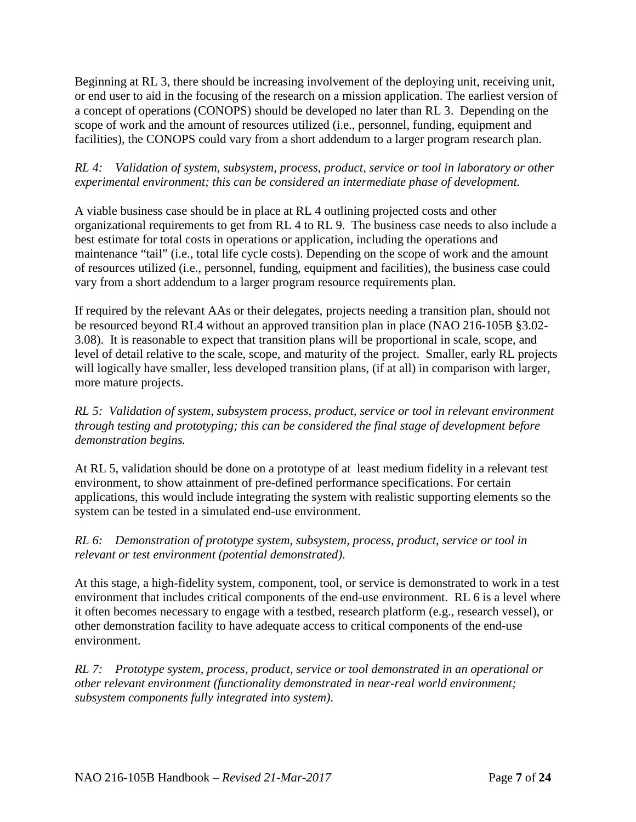Beginning at RL 3, there should be increasing involvement of the deploying unit, receiving unit, or end user to aid in the focusing of the research on a mission application. The earliest version of a concept of operations (CONOPS) should be developed no later than RL 3. Depending on the scope of work and the amount of resources utilized (i.e., personnel, funding, equipment and facilities), the CONOPS could vary from a short addendum to a larger program research plan.

# *RL 4: Validation of system, subsystem, process, product, service or tool in laboratory or other experimental environment; this can be considered an intermediate phase of development.*

A viable business case should be in place at RL 4 outlining projected costs and other organizational requirements to get from RL 4 to RL 9. The business case needs to also include a best estimate for total costs in operations or application, including the operations and maintenance "tail" (i.e., total life cycle costs). Depending on the scope of work and the amount of resources utilized (i.e., personnel, funding, equipment and facilities), the business case could vary from a short addendum to a larger program resource requirements plan.

If required by the relevant AAs or their delegates, projects needing a transition plan, should not be resourced beyond RL4 without an approved transition plan in place (NAO 216-105B §3.02- 3.08). It is reasonable to expect that transition plans will be proportional in scale, scope, and level of detail relative to the scale, scope, and maturity of the project. Smaller, early RL projects will logically have smaller, less developed transition plans, (if at all) in comparison with larger, more mature projects.

*RL 5: Validation of system, subsystem process, product, service or tool in relevant environment through testing and prototyping; this can be considered the final stage of development before demonstration begins.*

At RL 5, validation should be done on a prototype of at least medium fidelity in a relevant test environment, to show attainment of pre-defined performance specifications. For certain applications, this would include integrating the system with realistic supporting elements so the system can be tested in a simulated end-use environment.

*RL 6: Demonstration of prototype system, subsystem, process, product, service or tool in relevant or test environment (potential demonstrated)*.

At this stage, a high-fidelity system, component, tool, or service is demonstrated to work in a test environment that includes critical components of the end-use environment. RL 6 is a level where it often becomes necessary to engage with a testbed, research platform (e.g., research vessel), or other demonstration facility to have adequate access to critical components of the end-use environment.

*RL 7: Prototype system, process, product, service or tool demonstrated in an operational or other relevant environment (functionality demonstrated in near-real world environment; subsystem components fully integrated into system)*.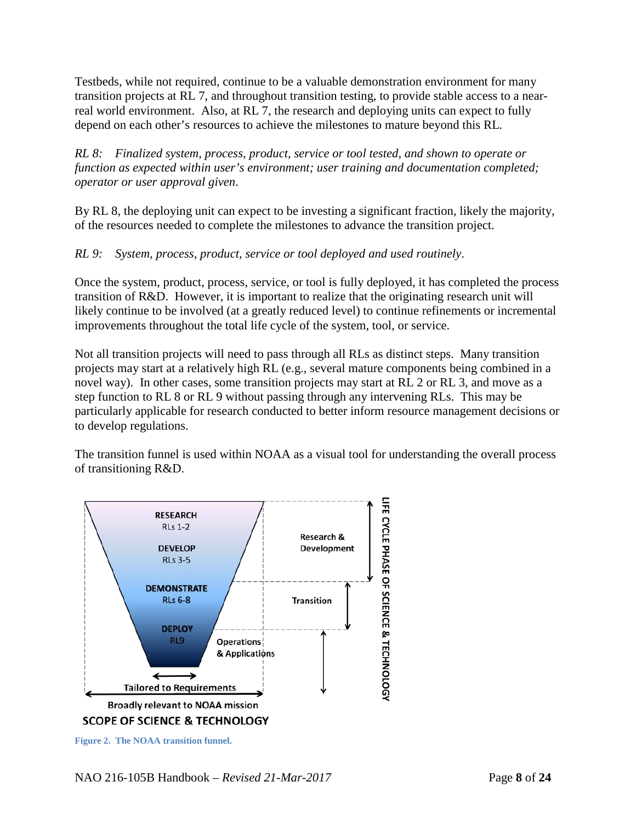Testbeds, while not required, continue to be a valuable demonstration environment for many transition projects at RL 7, and throughout transition testing, to provide stable access to a nearreal world environment. Also, at RL 7, the research and deploying units can expect to fully depend on each other's resources to achieve the milestones to mature beyond this RL.

*RL 8: Finalized system, process, product, service or tool tested, and shown to operate or function as expected within user's environment; user training and documentation completed; operator or user approval given*.

By RL 8, the deploying unit can expect to be investing a significant fraction, likely the majority, of the resources needed to complete the milestones to advance the transition project.

# *RL 9: System, process, product, service or tool deployed and used routinely*.

Once the system, product, process, service, or tool is fully deployed, it has completed the process transition of R&D. However, it is important to realize that the originating research unit will likely continue to be involved (at a greatly reduced level) to continue refinements or incremental improvements throughout the total life cycle of the system, tool, or service.

Not all transition projects will need to pass through all RLs as distinct steps. Many transition projects may start at a relatively high RL (e.g., several mature components being combined in a novel way). In other cases, some transition projects may start at RL 2 or RL 3, and move as a step function to RL 8 or RL 9 without passing through any intervening RLs. This may be particularly applicable for research conducted to better inform resource management decisions or to develop regulations.

The transition funnel is used within NOAA as a visual tool for understanding the overall process of transitioning R&D.



**Figure 2. The NOAA transition funnel.**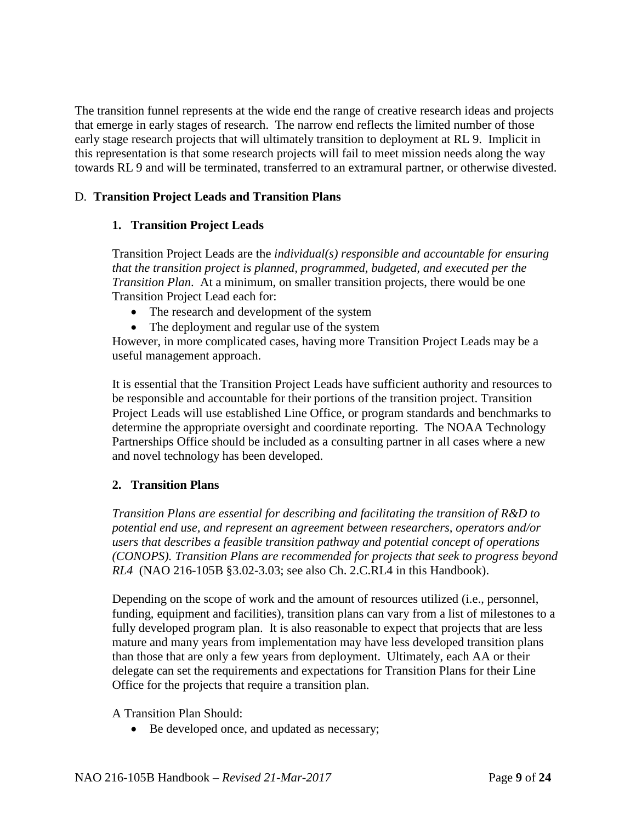The transition funnel represents at the wide end the range of creative research ideas and projects that emerge in early stages of research. The narrow end reflects the limited number of those early stage research projects that will ultimately transition to deployment at RL 9. Implicit in this representation is that some research projects will fail to meet mission needs along the way towards RL 9 and will be terminated, transferred to an extramural partner, or otherwise divested.

# D. **Transition Project Leads and Transition Plans**

# **1. Transition Project Leads**

Transition Project Leads are the *individual(s) responsible and accountable for ensuring that the transition project is planned, programmed, budgeted, and executed per the Transition Plan*. At a minimum, on smaller transition projects, there would be one Transition Project Lead each for:

- The research and development of the system
- The deployment and regular use of the system

However, in more complicated cases, having more Transition Project Leads may be a useful management approach.

It is essential that the Transition Project Leads have sufficient authority and resources to be responsible and accountable for their portions of the transition project. Transition Project Leads will use established Line Office, or program standards and benchmarks to determine the appropriate oversight and coordinate reporting. The NOAA Technology Partnerships Office should be included as a consulting partner in all cases where a new and novel technology has been developed.

# **2. Transition Plans**

*Transition Plans are essential for describing and facilitating the transition of R&D to potential end use, and represent an agreement between researchers, operators and/or users that describes a feasible transition pathway and potential concept of operations (CONOPS). Transition Plans are recommended for projects that seek to progress beyond RL4* (NAO 216-105B §3.02-3.03; see also Ch. 2.C.RL4 in this Handbook).

Depending on the scope of work and the amount of resources utilized (i.e., personnel, funding, equipment and facilities), transition plans can vary from a list of milestones to a fully developed program plan. It is also reasonable to expect that projects that are less mature and many years from implementation may have less developed transition plans than those that are only a few years from deployment. Ultimately, each AA or their delegate can set the requirements and expectations for Transition Plans for their Line Office for the projects that require a transition plan.

A Transition Plan Should:

• Be developed once, and updated as necessary;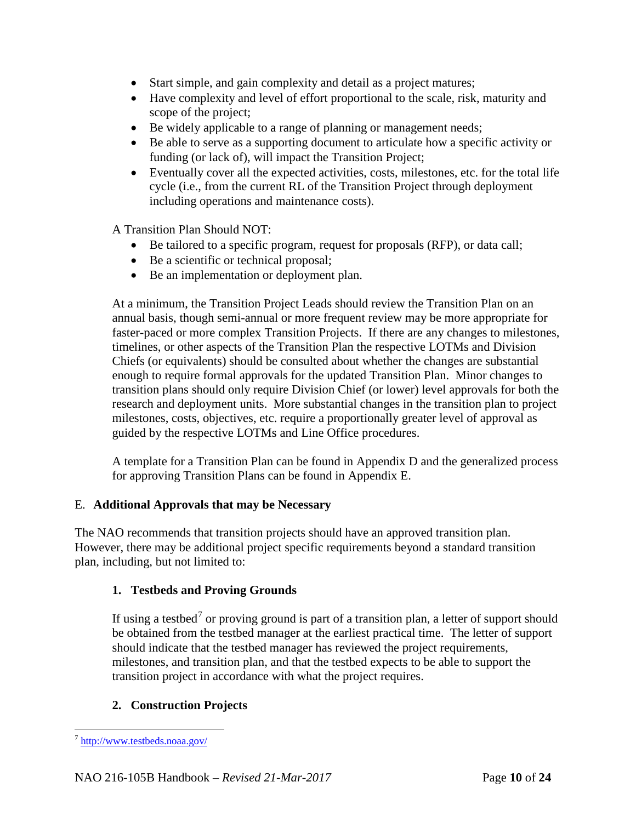- Start simple, and gain complexity and detail as a project matures;
- Have complexity and level of effort proportional to the scale, risk, maturity and scope of the project;
- Be widely applicable to a range of planning or management needs;
- Be able to serve as a supporting document to articulate how a specific activity or funding (or lack of), will impact the Transition Project;
- Eventually cover all the expected activities, costs, milestones, etc. for the total life cycle (i.e., from the current RL of the Transition Project through deployment including operations and maintenance costs).

A Transition Plan Should NOT:

- Be tailored to a specific program, request for proposals (RFP), or data call;
- Be a scientific or technical proposal;
- Be an implementation or deployment plan.

At a minimum, the Transition Project Leads should review the Transition Plan on an annual basis, though semi-annual or more frequent review may be more appropriate for faster-paced or more complex Transition Projects. If there are any changes to milestones, timelines, or other aspects of the Transition Plan the respective LOTMs and Division Chiefs (or equivalents) should be consulted about whether the changes are substantial enough to require formal approvals for the updated Transition Plan. Minor changes to transition plans should only require Division Chief (or lower) level approvals for both the research and deployment units. More substantial changes in the transition plan to project milestones, costs, objectives, etc. require a proportionally greater level of approval as guided by the respective LOTMs and Line Office procedures.

A template for a Transition Plan can be found in Appendix D and the generalized process for approving Transition Plans can be found in Appendix E.

# E. **Additional Approvals that may be Necessary**

The NAO recommends that transition projects should have an approved transition plan. However, there may be additional project specific requirements beyond a standard transition plan, including, but not limited to:

# **1. Testbeds and Proving Grounds**

If using a testbed<sup>[7](#page-9-0)</sup> or proving ground is part of a transition plan, a letter of support should be obtained from the testbed manager at the earliest practical time. The letter of support should indicate that the testbed manager has reviewed the project requirements, milestones, and transition plan, and that the testbed expects to be able to support the transition project in accordance with what the project requires.

# **2. Construction Projects**

<span id="page-9-0"></span> <sup>7</sup> <http://www.testbeds.noaa.gov/>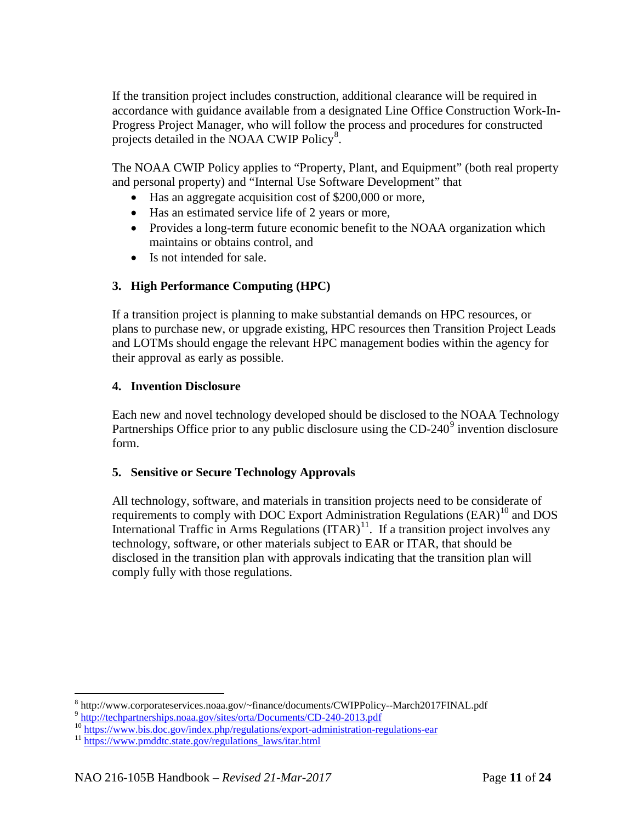If the transition project includes construction, additional clearance will be required in accordance with guidance available from a designated Line Office Construction Work-In-Progress Project Manager, who will follow the process and procedures for constructed projects detailed in the NOAA CWIP Policy<sup>[8](#page-10-0)</sup>.

The NOAA CWIP Policy applies to "Property, Plant, and Equipment" (both real property and personal property) and "Internal Use Software Development" that

- Has an aggregate acquisition cost of \$200,000 or more,
- Has an estimated service life of 2 years or more,
- Provides a long-term future economic benefit to the NOAA organization which maintains or obtains control, and
- Is not intended for sale.

# **3. High Performance Computing (HPC)**

If a transition project is planning to make substantial demands on HPC resources, or plans to purchase new, or upgrade existing, HPC resources then Transition Project Leads and LOTMs should engage the relevant HPC management bodies within the agency for their approval as early as possible.

#### **4. Invention Disclosure**

Each new and novel technology developed should be disclosed to the NOAA Technology Partnerships Office prior to any public disclosure using the  $CD-240^\circ$  invention disclosure form.

# **5. Sensitive or Secure Technology Approvals**

All technology, software, and materials in transition projects need to be considerate of requirements to comply with DOC Export Administration Regulations (EAR)<sup>[10](#page-10-2)</sup> and DOS International Traffic in Arms Regulations  $(ITAR)^{11}$ . If a transition project involves any technology, software, or other materials subject to EAR or ITAR, that should be disclosed in the transition plan with approvals indicating that the transition plan will comply fully with those regulations.

<span id="page-10-1"></span><span id="page-10-0"></span><sup>&</sup>lt;sup>8</sup> http://www.corporateservices.noaa.gov/~finance/documents/CWIPPolicy--March2017FINAL.pdf<br>  $^{9}$  <http://techpartnerships.noaa.gov/sites/orta/Documents/CD-240-2013.pdf><br>  $^{10}$  https://www.bis.doc.gov/index.php/regulation

<span id="page-10-2"></span>

<span id="page-10-3"></span>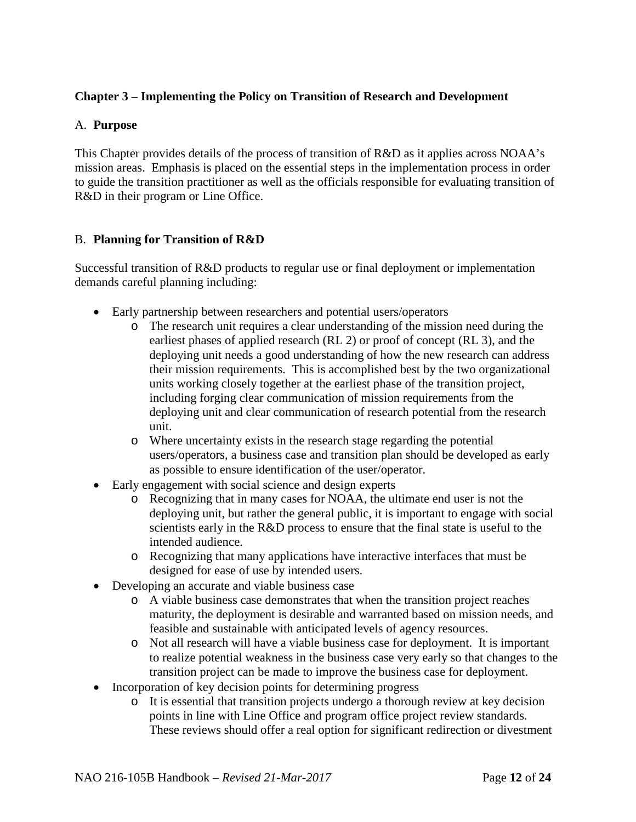# <span id="page-11-0"></span>**Chapter 3 – Implementing the Policy on Transition of Research and Development**

#### A. **Purpose**

This Chapter provides details of the process of transition of R&D as it applies across NOAA's mission areas. Emphasis is placed on the essential steps in the implementation process in order to guide the transition practitioner as well as the officials responsible for evaluating transition of R&D in their program or Line Office.

#### B. **Planning for Transition of R&D**

Successful transition of R&D products to regular use or final deployment or implementation demands careful planning including:

- Early partnership between researchers and potential users/operators
	- o The research unit requires a clear understanding of the mission need during the earliest phases of applied research (RL 2) or proof of concept (RL 3), and the deploying unit needs a good understanding of how the new research can address their mission requirements. This is accomplished best by the two organizational units working closely together at the earliest phase of the transition project, including forging clear communication of mission requirements from the deploying unit and clear communication of research potential from the research unit.
	- o Where uncertainty exists in the research stage regarding the potential users/operators, a business case and transition plan should be developed as early as possible to ensure identification of the user/operator.
- Early engagement with social science and design experts
	- o Recognizing that in many cases for NOAA, the ultimate end user is not the deploying unit, but rather the general public, it is important to engage with social scientists early in the R&D process to ensure that the final state is useful to the intended audience.
	- o Recognizing that many applications have interactive interfaces that must be designed for ease of use by intended users.
- Developing an accurate and viable business case
	- o A viable business case demonstrates that when the transition project reaches maturity, the deployment is desirable and warranted based on mission needs, and feasible and sustainable with anticipated levels of agency resources.
	- o Not all research will have a viable business case for deployment. It is important to realize potential weakness in the business case very early so that changes to the transition project can be made to improve the business case for deployment.
- Incorporation of key decision points for determining progress
	- o It is essential that transition projects undergo a thorough review at key decision points in line with Line Office and program office project review standards. These reviews should offer a real option for significant redirection or divestment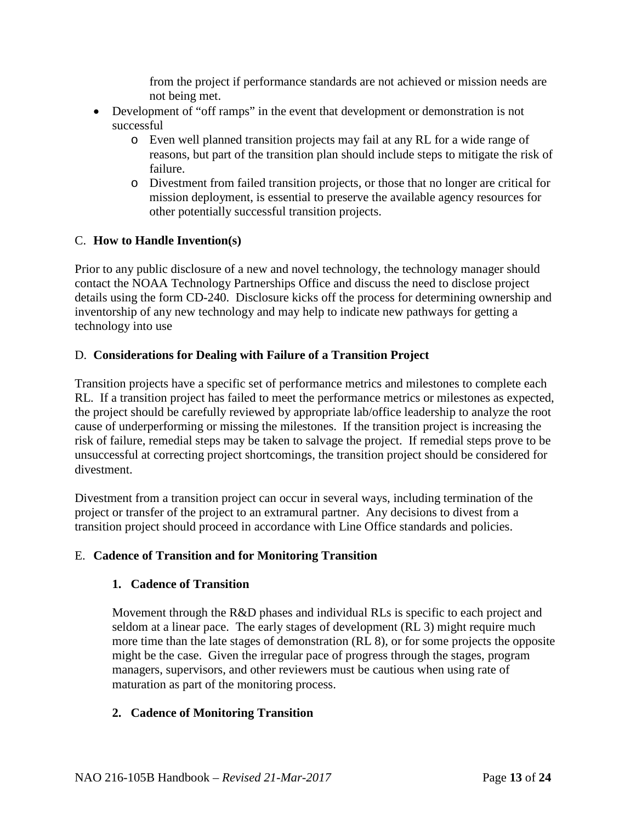from the project if performance standards are not achieved or mission needs are not being met.

- Development of "off ramps" in the event that development or demonstration is not successful
	- o Even well planned transition projects may fail at any RL for a wide range of reasons, but part of the transition plan should include steps to mitigate the risk of failure.
	- o Divestment from failed transition projects, or those that no longer are critical for mission deployment, is essential to preserve the available agency resources for other potentially successful transition projects.

# C. **How to Handle Invention(s)**

Prior to any public disclosure of a new and novel technology, the technology manager should contact the NOAA Technology Partnerships Office and discuss the need to disclose project details using the form CD-240. Disclosure kicks off the process for determining ownership and inventorship of any new technology and may help to indicate new pathways for getting a technology into use

# D. **Considerations for Dealing with Failure of a Transition Project**

Transition projects have a specific set of performance metrics and milestones to complete each RL. If a transition project has failed to meet the performance metrics or milestones as expected, the project should be carefully reviewed by appropriate lab/office leadership to analyze the root cause of underperforming or missing the milestones. If the transition project is increasing the risk of failure, remedial steps may be taken to salvage the project. If remedial steps prove to be unsuccessful at correcting project shortcomings, the transition project should be considered for divestment.

Divestment from a transition project can occur in several ways, including termination of the project or transfer of the project to an extramural partner. Any decisions to divest from a transition project should proceed in accordance with Line Office standards and policies.

# E. **Cadence of Transition and for Monitoring Transition**

# **1. Cadence of Transition**

Movement through the R&D phases and individual RLs is specific to each project and seldom at a linear pace. The early stages of development (RL 3) might require much more time than the late stages of demonstration (RL 8), or for some projects the opposite might be the case. Given the irregular pace of progress through the stages, program managers, supervisors, and other reviewers must be cautious when using rate of maturation as part of the monitoring process.

# **2. Cadence of Monitoring Transition**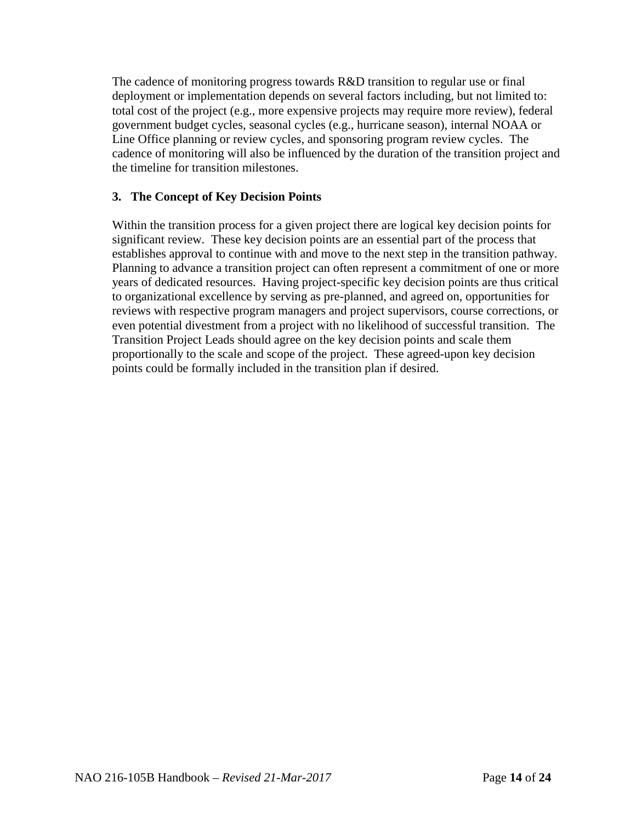The cadence of monitoring progress towards R&D transition to regular use or final deployment or implementation depends on several factors including, but not limited to: total cost of the project (e.g., more expensive projects may require more review), federal government budget cycles, seasonal cycles (e.g., hurricane season), internal NOAA or Line Office planning or review cycles, and sponsoring program review cycles. The cadence of monitoring will also be influenced by the duration of the transition project and the timeline for transition milestones.

# **3. The Concept of Key Decision Points**

Within the transition process for a given project there are logical key decision points for significant review. These key decision points are an essential part of the process that establishes approval to continue with and move to the next step in the transition pathway. Planning to advance a transition project can often represent a commitment of one or more years of dedicated resources. Having project-specific key decision points are thus critical to organizational excellence by serving as pre-planned, and agreed on, opportunities for reviews with respective program managers and project supervisors, course corrections, or even potential divestment from a project with no likelihood of successful transition. The Transition Project Leads should agree on the key decision points and scale them proportionally to the scale and scope of the project. These agreed-upon key decision points could be formally included in the transition plan if desired.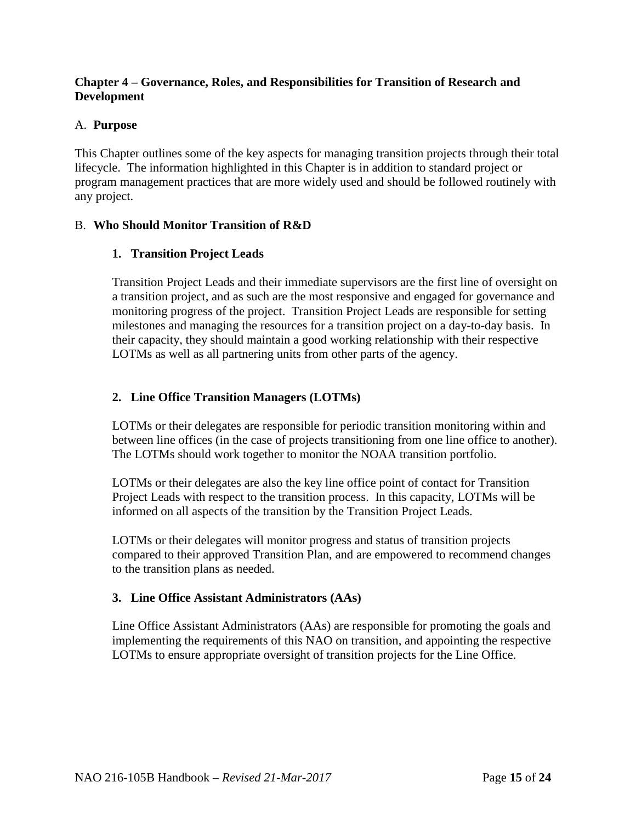# <span id="page-14-0"></span>**Chapter 4 – Governance, Roles, and Responsibilities for Transition of Research and Development**

# A. **Purpose**

This Chapter outlines some of the key aspects for managing transition projects through their total lifecycle. The information highlighted in this Chapter is in addition to standard project or program management practices that are more widely used and should be followed routinely with any project.

# B. **Who Should Monitor Transition of R&D**

# **1. Transition Project Leads**

Transition Project Leads and their immediate supervisors are the first line of oversight on a transition project, and as such are the most responsive and engaged for governance and monitoring progress of the project. Transition Project Leads are responsible for setting milestones and managing the resources for a transition project on a day-to-day basis. In their capacity, they should maintain a good working relationship with their respective LOTMs as well as all partnering units from other parts of the agency.

# **2. Line Office Transition Managers (LOTMs)**

LOTMs or their delegates are responsible for periodic transition monitoring within and between line offices (in the case of projects transitioning from one line office to another). The LOTMs should work together to monitor the NOAA transition portfolio.

LOTMs or their delegates are also the key line office point of contact for Transition Project Leads with respect to the transition process. In this capacity, LOTMs will be informed on all aspects of the transition by the Transition Project Leads.

LOTMs or their delegates will monitor progress and status of transition projects compared to their approved Transition Plan, and are empowered to recommend changes to the transition plans as needed.

# **3. Line Office Assistant Administrators (AAs)**

Line Office Assistant Administrators (AAs) are responsible for promoting the goals and implementing the requirements of this NAO on transition, and appointing the respective LOTMs to ensure appropriate oversight of transition projects for the Line Office.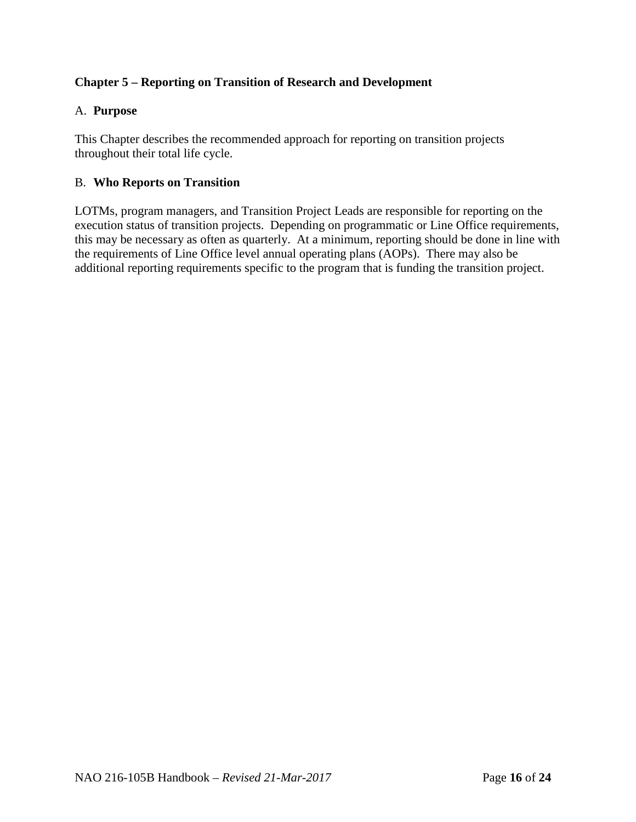# <span id="page-15-0"></span>**Chapter 5 – Reporting on Transition of Research and Development**

# A. **Purpose**

This Chapter describes the recommended approach for reporting on transition projects throughout their total life cycle.

#### B. **Who Reports on Transition**

LOTMs, program managers, and Transition Project Leads are responsible for reporting on the execution status of transition projects. Depending on programmatic or Line Office requirements, this may be necessary as often as quarterly. At a minimum, reporting should be done in line with the requirements of Line Office level annual operating plans (AOPs). There may also be additional reporting requirements specific to the program that is funding the transition project.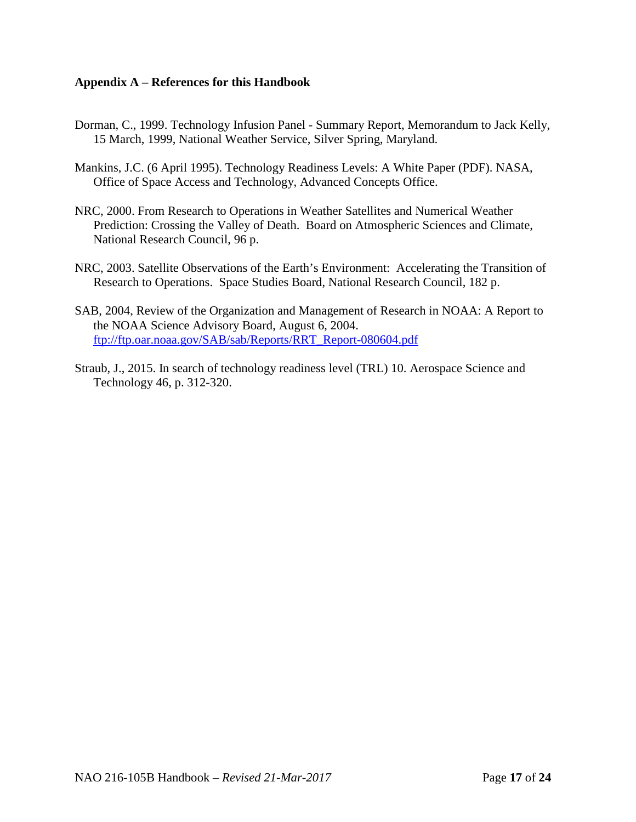#### <span id="page-16-0"></span>**Appendix A – References for this Handbook**

- Dorman, C., 1999. Technology Infusion Panel Summary Report, Memorandum to Jack Kelly, 15 March, 1999, National Weather Service, Silver Spring, Maryland.
- Mankins, J.C. (6 April 1995). Technology Readiness Levels: A White Paper (PDF). NASA, Office of Space Access and Technology, Advanced Concepts Office.
- NRC, 2000. From Research to Operations in Weather Satellites and Numerical Weather Prediction: Crossing the Valley of Death. Board on Atmospheric Sciences and Climate, National Research Council, 96 p.
- NRC, 2003. Satellite Observations of the Earth's Environment: Accelerating the Transition of Research to Operations. Space Studies Board, National Research Council, 182 p.
- SAB, 2004, Review of the Organization and Management of Research in NOAA: A Report to the NOAA Science Advisory Board, August 6, 2004. [ftp://ftp.oar.noaa.gov/SAB/sab/Reports/RRT\\_Report-080604.pdf](ftp://ftp.oar.noaa.gov/SAB/sab/Reports/RRT_Report-080604.pdf)
- Straub, J., 2015. In search of technology readiness level (TRL) 10. Aerospace Science and Technology 46, p. 312-320.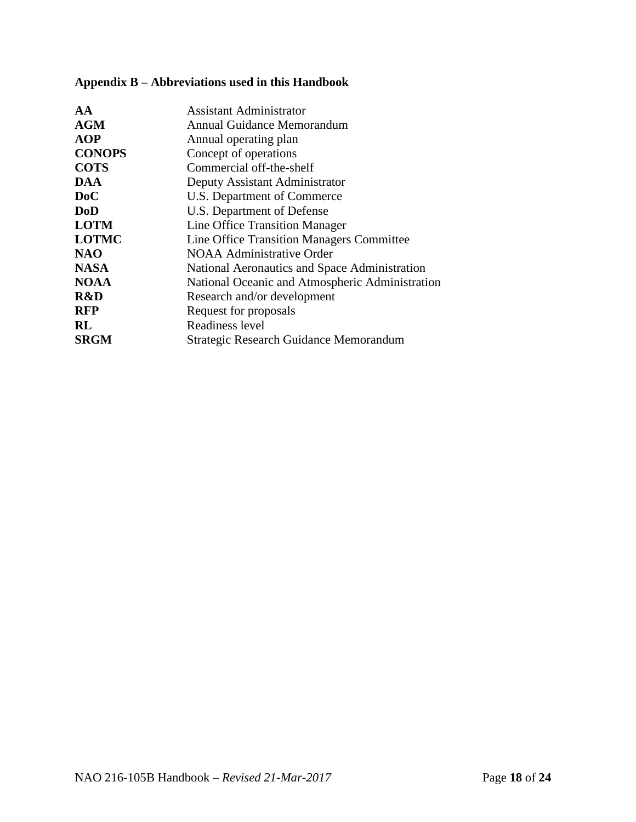<span id="page-17-0"></span>

| Appendix B – Abbreviations used in this Handbook |  |  |
|--------------------------------------------------|--|--|
|--------------------------------------------------|--|--|

| Assistant Administrator<br><b>AGM</b><br>Annual Guidance Memorandum |  |
|---------------------------------------------------------------------|--|
| <b>AOP</b><br>Annual operating plan                                 |  |
| <b>CONOPS</b><br>Concept of operations                              |  |
| <b>COTS</b><br>Commercial off-the-shelf                             |  |
| <b>DAA</b><br>Deputy Assistant Administrator                        |  |
| DoC<br>U.S. Department of Commerce                                  |  |
| <b>DoD</b><br>U.S. Department of Defense                            |  |
| <b>LOTM</b><br>Line Office Transition Manager                       |  |
| <b>LOTMC</b><br>Line Office Transition Managers Committee           |  |
| <b>NAO</b><br>NOAA Administrative Order                             |  |
| <b>NASA</b><br>National Aeronautics and Space Administration        |  |
| <b>NOAA</b><br>National Oceanic and Atmospheric Administration      |  |
| R&D<br>Research and/or development                                  |  |
| <b>RFP</b><br>Request for proposals                                 |  |
| Readiness level<br>RL                                               |  |
| <b>SRGM</b><br>Strategic Research Guidance Memorandum               |  |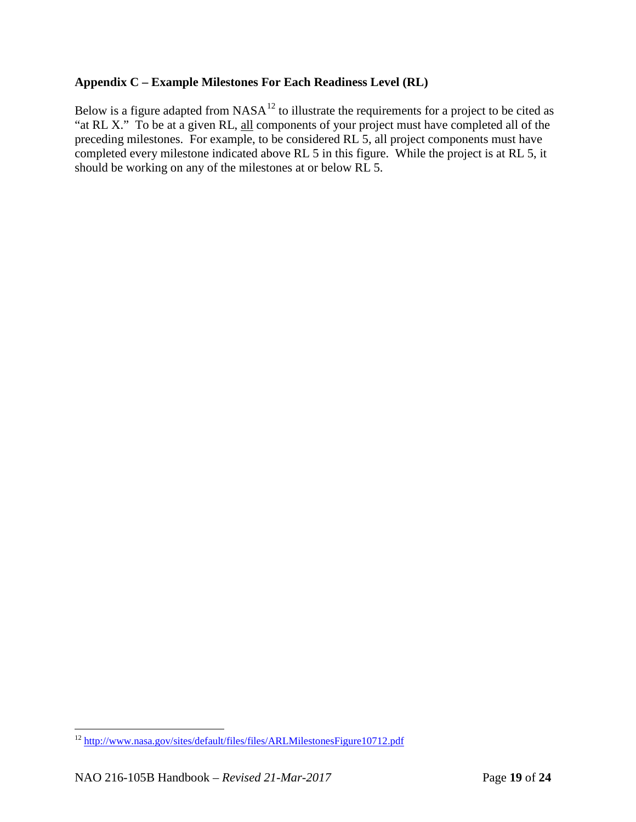#### <span id="page-18-0"></span>**Appendix C – Example Milestones For Each Readiness Level (RL)**

Below is a figure adapted from  $NASA^{12}$  $NASA^{12}$  $NASA^{12}$  to illustrate the requirements for a project to be cited as "at RL X." To be at a given RL, all components of your project must have completed all of the preceding milestones. For example, to be considered RL 5, all project components must have completed every milestone indicated above RL 5 in this figure. While the project is at RL 5, it should be working on any of the milestones at or below RL 5.

<span id="page-18-1"></span> <sup>12</sup> <http://www.nasa.gov/sites/default/files/files/ARLMilestonesFigure10712.pdf>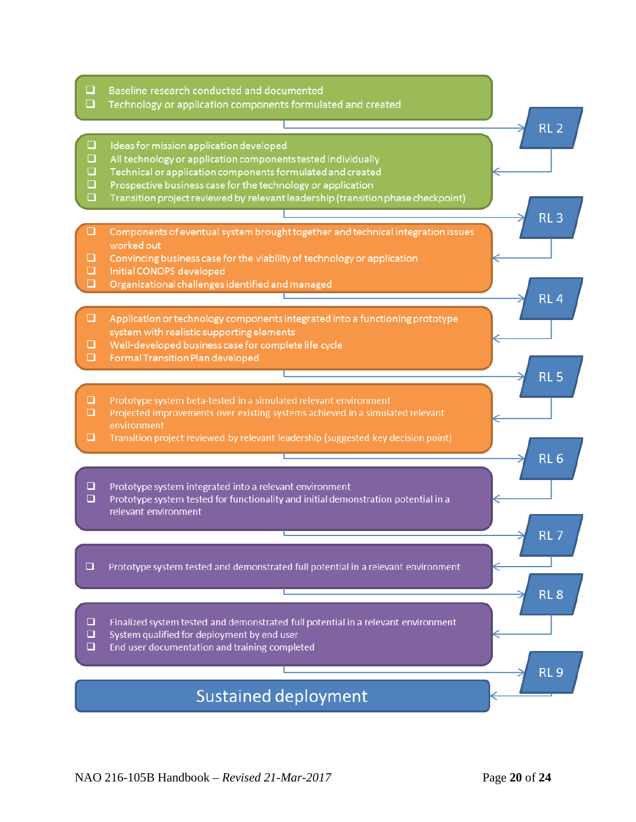- $\Box$ Baseline research conducted and documented
- $\Box$ Technology or application components formulated and created
- $\Box$ Ideas for mission application developed
- $\Box$ All technology or application components tested individually
- $\Box$ Technical or application components formulated and created
- $\Box$ Prospective business case for the technology or application
- $\Box$ Transition project reviewed by relevant leadership (transition phase checkpoint)
- $\Box$ Components of eventual system brought together and technical integration issues worked out
- $\Box$ Convincing business case for the viability of technology or application
- $\Box$ Initial CONOPS developed
- $\Box$ Organizational challenges identified and managed
- $\Box$ Application or technology components integrated into a functioning prototype system with realistic supporting elements
- $\Box$ Well-developed business case for complete life cycle
- Formal Transition Plan developed  $\Box$
- $\Box$ Prototype system beta-tested in a simulated relevant environment
- $\Box$ Projected improvements over existing systems achieved in a simulated relevant environment
- $\Box$ Transition project reviewed by relevant leadership (suggested key decision point)
- $\Box$ Prototype system integrated into a relevant environment
- $\Box$ Prototype system tested for functionality and initial demonstration potential in a relevant environment
- $\Box$ Prototype system tested and demonstrated full potential in a relevant environment
- $\Box$ Finalized system tested and demonstrated full potential in a relevant environment
- $\Box$ System qualified for deployment by end user
- $\Box$ End user documentation and training completed

# **Sustained deployment**

RL<sub>2</sub>

RL<sub>3</sub>

RL  $\Delta$ 

RL<sub>5</sub>

RL<sub>6</sub>

RL<sub>7</sub>

RL<sub>8</sub>

**RL9**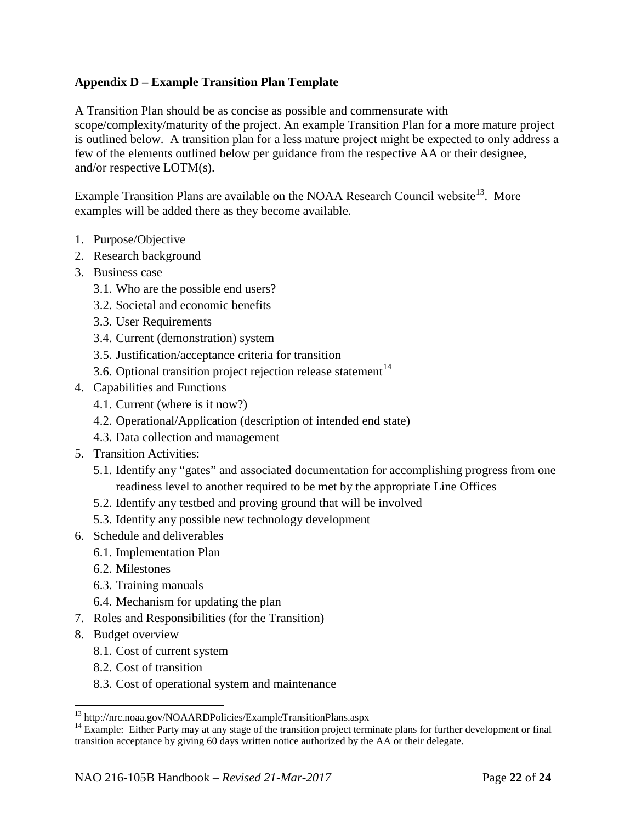# <span id="page-21-0"></span>**Appendix D – Example Transition Plan Template**

A Transition Plan should be as concise as possible and commensurate with scope/complexity/maturity of the project. An example Transition Plan for a more mature project is outlined below. A transition plan for a less mature project might be expected to only address a few of the elements outlined below per guidance from the respective AA or their designee, and/or respective LOTM(s).

Example Transition Plans are available on the NOAA Research Council website<sup>13</sup>. More examples will be added there as they become available.

- 1. Purpose/Objective
- 2. Research background
- 3. Business case
	- 3.1. Who are the possible end users?
	- 3.2. Societal and economic benefits
	- 3.3. User Requirements
	- 3.4. Current (demonstration) system
	- 3.5. Justification/acceptance criteria for transition
	- 3.6. Optional transition project rejection release statement $14$
- 4. Capabilities and Functions
	- 4.1. Current (where is it now?)
	- 4.2. Operational/Application (description of intended end state)
	- 4.3. Data collection and management
- 5. Transition Activities:
	- 5.1. Identify any "gates" and associated documentation for accomplishing progress from one readiness level to another required to be met by the appropriate Line Offices
	- 5.2. Identify any testbed and proving ground that will be involved
	- 5.3. Identify any possible new technology development
- 6. Schedule and deliverables
	- 6.1. Implementation Plan
	- 6.2. Milestones
	- 6.3. Training manuals
	- 6.4. Mechanism for updating the plan
- 7. Roles and Responsibilities (for the Transition)
- 8. Budget overview
	- 8.1. Cost of current system
	- 8.2. Cost of transition
	- 8.3. Cost of operational system and maintenance

<span id="page-21-2"></span><span id="page-21-1"></span><sup>&</sup>lt;sup>13</sup> http://nrc.noaa.gov/NOAARDPolicies/ExampleTransitionPlans.aspx  $14$  Example: Either Party may at any stage of the transition project terminate plans for further development or final transition acceptance by giving 60 days written notice authorized by the AA or their delegate.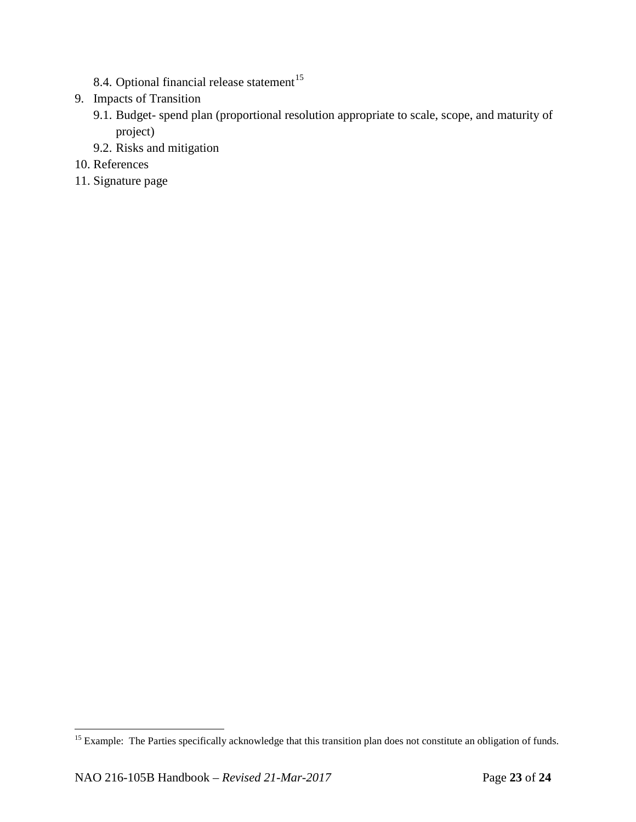- 8.4. Optional financial release statement $15$
- 9. Impacts of Transition
	- 9.1. Budget- spend plan (proportional resolution appropriate to scale, scope, and maturity of project)
	- 9.2. Risks and mitigation
- 10. References
- 11. Signature page

<span id="page-22-0"></span><sup>&</sup>lt;sup>15</sup> Example: The Parties specifically acknowledge that this transition plan does not constitute an obligation of funds.